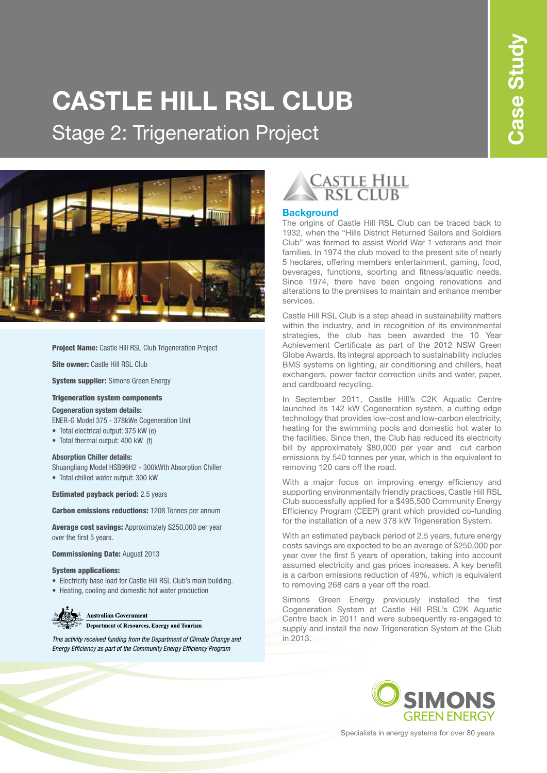# **CASTLE HILL RSL CLUB**  Stage 2: Trigeneration Project



**Project Name:** Castle Hill RSL Club Trigeneration Project

Site owner: Castle Hill RSL Club

**System supplier:** Simons Green Energy

#### Trigeneration system components

#### **Cogeneration system details:**

ENER-G Model 375 - 378kWe Cogeneration Unit

- Total electrical output: 375 kW (e)
- Total thermal output: 400 kW (t)

#### **Absorption Chiller details:**

Shuangliang Model HSB99H2 - 300kWth Absorption Chiller

• Total chilled water output: 300 kW

Estimated payback period: 2.5 years

Carbon emissions reductions: 1208 Tonnes per annum

Average cost savings: Approximately \$250,000 per year over the first 5 years.

Commissioning Date: August 2013

#### System applications:

- Electricity base load for Castle Hill RSL Club's main building.
- Heating, cooling and domestic hot water production

# **Australian Government**

Department of Resources, Energy and Tourism

*This activity received funding from the Department of Climate Change and* in 2013. *Energy Efficiency as part of the Community Energy Efficiency Program*



#### **Background**

The origins of Castle Hill RSL Club can be traced back to 1932, when the "Hills District Returned Sailors and Soldiers Club" was formed to assist World War 1 veterans and their families. In 1974 the club moved to the present site of nearly 5 hectares, offering members entertainment, gaming, food, beverages, functions, sporting and fitness/aquatic needs. Since 1974, there have been ongoing renovations and alterations to the premises to maintain and enhance member services.

Castle Hill RSL Club is a step ahead in sustainability matters within the industry, and in recognition of its environmental strategies, the club has been awarded the 10 Year Achievement Certificate as part of the 2012 NSW Green Globe Awards. Its integral approach to sustainability includes BMS systems on lighting, air conditioning and chillers, heat exchangers, power factor correction units and water, paper, and cardboard recycling.

In September 2011, Castle Hill's C2K Aquatic Centre launched its 142 kW Cogeneration system, a cutting edge technology that provides low-cost and low-carbon electricity, heating for the swimming pools and domestic hot water to the facilities. Since then, the Club has reduced its electricity bill by approximately \$80,000 per year and cut carbon emissions by 540 tonnes per year, which is the equivalent to removing 120 cars off the road.

With a major focus on improving energy efficiency and supporting environmentally friendly practices, Castle Hill RSL Club successfully applied for a \$495,500 Community Energy Efficiency Program (CEEP) grant which provided co-funding for the installation of a new 378 kW Trigeneration System.

With an estimated payback period of 2.5 years, future energy costs savings are expected to be an average of \$250,000 per year over the first 5 years of operation, taking into account assumed electricity and gas prices increases. A key benefit is a carbon emissions reduction of 49%, which is equivalent to removing 268 cars a year off the road.

Simons Green Energy previously installed the first Cogeneration System at Castle Hill RSL's C2K Aquatic Centre back in 2011 and were subsequently re-engaged to supply and install the new Trigeneration System at the Club



Specialists in energy systems for over 80 years